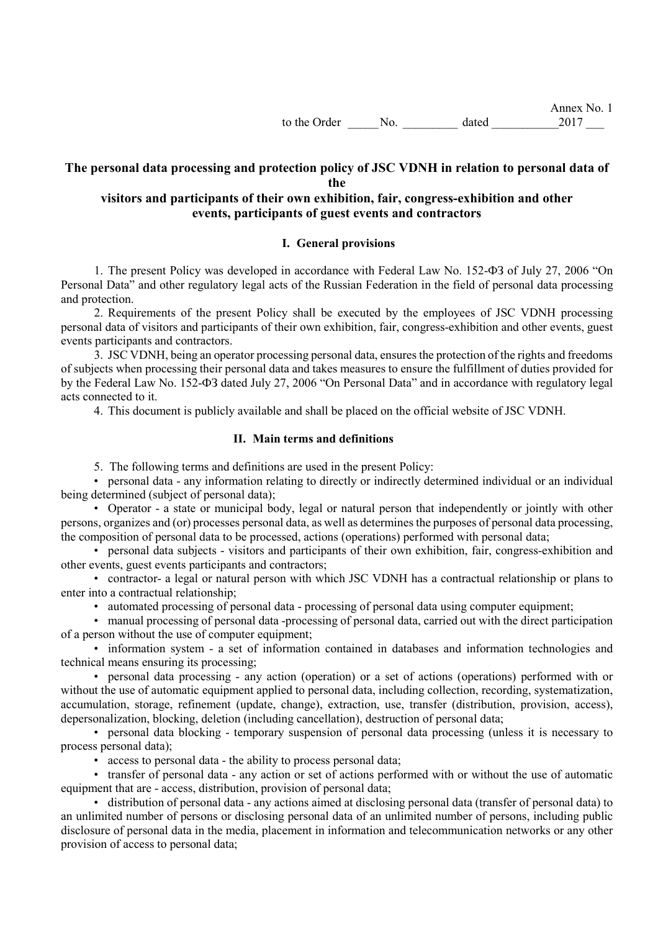# **The personal data processing and protection policy of JSC VDNH in relation to personal data of the**

# **visitors and participants of their own exhibition, fair, congress-exhibition and other events, participants of guest events and contractors**

### **I. General provisions**

1. The present Policy was developed in accordance with Federal Law No. 152-ФЗ of July 27, 2006 "On Personal Data" and other regulatory legal acts of the Russian Federation in the field of personal data processing and protection.

2. Requirements of the present Policy shall be executed by the employees of JSC VDNH processing personal data of visitors and participants of their own exhibition, fair, congress-exhibition and other events, guest events participants and contractors.

3. JSC VDNH, being an operator processing personal data, ensures the protection of the rights and freedoms of subjects when processing their personal data and takes measures to ensure the fulfillment of duties provided for by the Federal Law No. 152-ФЗ dated July 27, 2006 "On Personal Data" and in accordance with regulatory legal acts connected to it.

4. This document is publicly available and shall be placed on the official website of JSC VDNH.

#### **II. Main terms and definitions**

5. The following terms and definitions are used in the present Policy:

• personal data - any information relating to directly or indirectly determined individual or an individual being determined (subject of personal data);

• Operator - a state or municipal body, legal or natural person that independently or jointly with other persons, organizes and (or) processes personal data, as well as determines the purposes of personal data processing, the composition of personal data to be processed, actions (operations) performed with personal data;

• personal data subjects - visitors and participants of their own exhibition, fair, congress-exhibition and other events, guest events participants and contractors;

• contractor- a legal or natural person with which JSC VDNH has a contractual relationship or plans to enter into a contractual relationship;

• automated processing of personal data - processing of personal data using computer equipment;

• manual processing of personal data -processing of personal data, carried out with the direct participation of a person without the use of computer equipment;

• information system - a set of information contained in databases and information technologies and technical means ensuring its processing;

• personal data processing - any action (operation) or a set of actions (operations) performed with or without the use of automatic equipment applied to personal data, including collection, recording, systematization, accumulation, storage, refinement (update, change), extraction, use, transfer (distribution, provision, access), depersonalization, blocking, deletion (including cancellation), destruction of personal data;

• personal data blocking - temporary suspension of personal data processing (unless it is necessary to process personal data);

• access to personal data - the ability to process personal data;

• transfer of personal data - any action or set of actions performed with or without the use of automatic equipment that are - access, distribution, provision of personal data;

• distribution of personal data - any actions aimed at disclosing personal data (transfer of personal data) to an unlimited number of persons or disclosing personal data of an unlimited number of persons, including public disclosure of personal data in the media, placement in information and telecommunication networks or any other provision of access to personal data;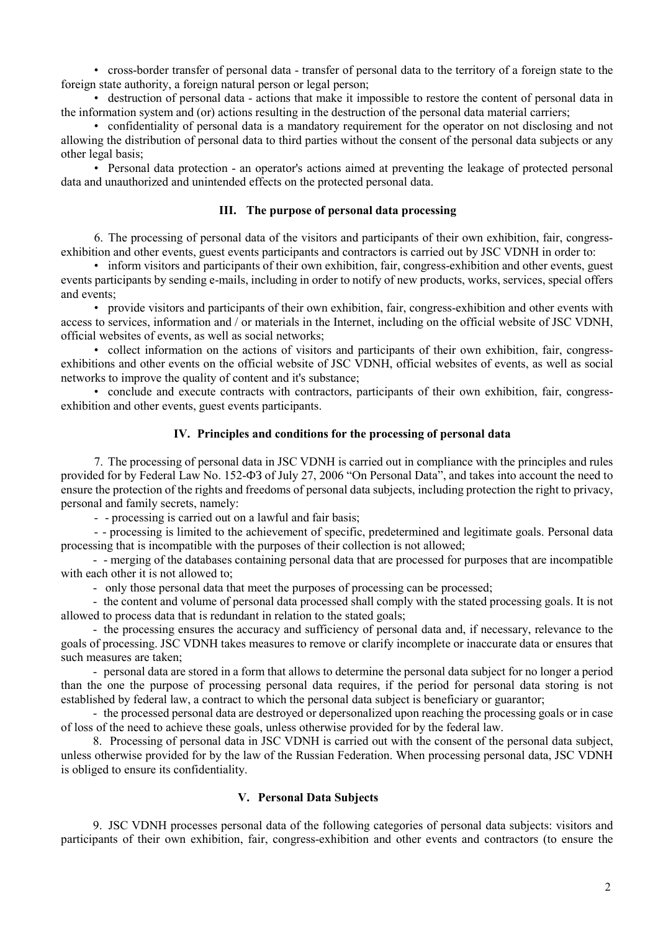• cross-border transfer of personal data - transfer of personal data to the territory of a foreign state to the foreign state authority, a foreign natural person or legal person;

• destruction of personal data - actions that make it impossible to restore the content of personal data in the information system and (or) actions resulting in the destruction of the personal data material carriers;

• confidentiality of personal data is a mandatory requirement for the operator on not disclosing and not allowing the distribution of personal data to third parties without the consent of the personal data subjects or any other legal basis;

• Personal data protection - an operator's actions aimed at preventing the leakage of protected personal data and unauthorized and unintended effects on the protected personal data.

#### **III. The purpose of personal data processing**

6. The processing of personal data of the visitors and participants of their own exhibition, fair, congressexhibition and other events, guest events participants and contractors is carried out by JSC VDNH in order to:

• inform visitors and participants of their own exhibition, fair, congress-exhibition and other events, guest events participants by sending e-mails, including in order to notify of new products, works, services, special offers and events;

• provide visitors and participants of their own exhibition, fair, congress-exhibition and other events with access to services, information and / or materials in the Internet, including on the official website of JSC VDNH, official websites of events, as well as social networks;

• collect information on the actions of visitors and participants of their own exhibition, fair, congressexhibitions and other events on the official website of JSC VDNH, official websites of events, as well as social networks to improve the quality of content and it's substance;

• conclude and execute contracts with contractors, participants of their own exhibition, fair, congressexhibition and other events, guest events participants.

#### **IV. Principles and conditions for the processing of personal data**

7. The processing of personal data in JSC VDNH is carried out in compliance with the principles and rules provided for by Federal Law No. 152-ФЗ of July 27, 2006 "On Personal Data", and takes into account the need to ensure the protection of the rights and freedoms of personal data subjects, including protection the right to privacy, personal and family secrets, namely:

- - processing is carried out on a lawful and fair basis;

- - processing is limited to the achievement of specific, predetermined and legitimate goals. Personal data processing that is incompatible with the purposes of their collection is not allowed;

- - merging of the databases containing personal data that are processed for purposes that are incompatible with each other it is not allowed to;

- only those personal data that meet the purposes of processing can be processed;

- the content and volume of personal data processed shall comply with the stated processing goals. It is not allowed to process data that is redundant in relation to the stated goals;

- the processing ensures the accuracy and sufficiency of personal data and, if necessary, relevance to the goals of processing. JSC VDNH takes measures to remove or clarify incomplete or inaccurate data or ensures that such measures are taken;

- personal data are stored in a form that allows to determine the personal data subject for no longer a period than the one the purpose of processing personal data requires, if the period for personal data storing is not established by federal law, a contract to which the personal data subject is beneficiary or guarantor;

- the processed personal data are destroyed or depersonalized upon reaching the processing goals or in case of loss of the need to achieve these goals, unless otherwise provided for by the federal law.

8. Processing of personal data in JSC VDNH is carried out with the consent of the personal data subject, unless otherwise provided for by the law of the Russian Federation. When processing personal data, JSC VDNH is obliged to ensure its confidentiality.

#### **V. Personal Data Subjects**

9. JSC VDNH processes personal data of the following categories of personal data subjects: visitors and participants of their own exhibition, fair, congress-exhibition and other events and contractors (to ensure the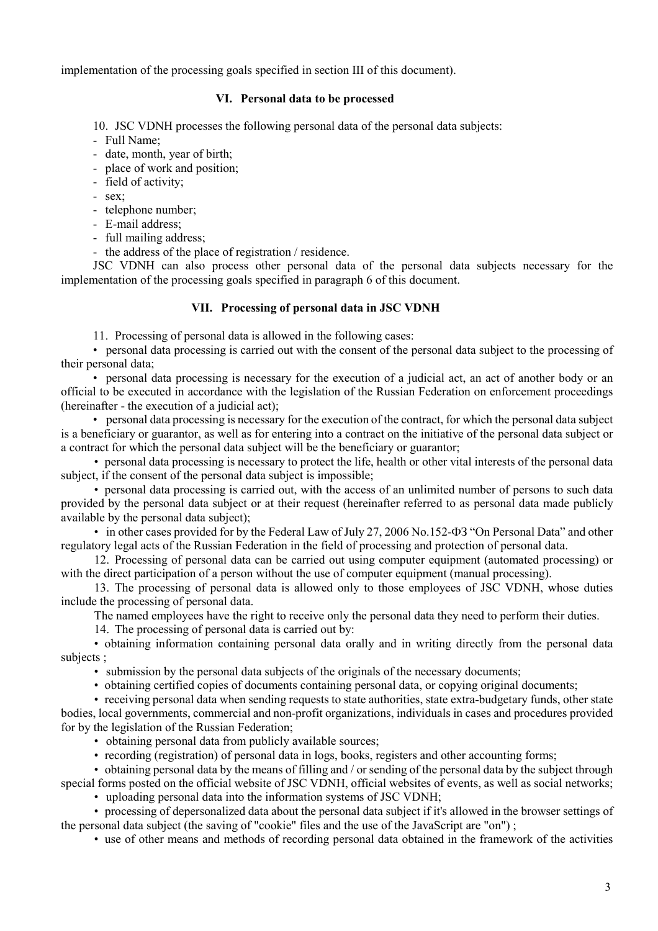implementation of the processing goals specified in section III of this document).

### **VI. Personal data to be processed**

10. JSC VDNH processes the following personal data of the personal data subjects:

- Full Name;
- date, month, year of birth;
- place of work and position;
- field of activity;
- sex;
- telephone number;
- E-mail address;
- full mailing address;

- the address of the place of registration / residence.

JSC VDNH can also process other personal data of the personal data subjects necessary for the implementation of the processing goals specified in paragraph 6 of this document.

## **VII. Processing of personal data in JSC VDNH**

11. Processing of personal data is allowed in the following cases:

• personal data processing is carried out with the consent of the personal data subject to the processing of their personal data;

• personal data processing is necessary for the execution of a judicial act, an act of another body or an official to be executed in accordance with the legislation of the Russian Federation on enforcement proceedings (hereinafter - the execution of a judicial act);

• personal data processing is necessary for the execution of the contract, for which the personal data subject is a beneficiary or guarantor, as well as for entering into a contract on the initiative of the personal data subject or a contract for which the personal data subject will be the beneficiary or guarantor;

• personal data processing is necessary to protect the life, health or other vital interests of the personal data subject, if the consent of the personal data subject is impossible;

• personal data processing is carried out, with the access of an unlimited number of persons to such data provided by the personal data subject or at their request (hereinafter referred to as personal data made publicly available by the personal data subject);

• in other cases provided for by the Federal Law of July 27, 2006 No.152- $\Phi$ 3 "On Personal Data" and other regulatory legal acts of the Russian Federation in the field of processing and protection of personal data.

12. Processing of personal data can be carried out using computer equipment (automated processing) or with the direct participation of a person without the use of computer equipment (manual processing).

13. The processing of personal data is allowed only to those employees of JSC VDNH, whose duties include the processing of personal data.

The named employees have the right to receive only the personal data they need to perform their duties.

14. The processing of personal data is carried out by:

• obtaining information containing personal data orally and in writing directly from the personal data subjects ;

• submission by the personal data subjects of the originals of the necessary documents;

• obtaining certified copies of documents containing personal data, or copying original documents;

• receiving personal data when sending requests to state authorities, state extra-budgetary funds, other state bodies, local governments, commercial and non-profit organizations, individuals in cases and procedures provided for by the legislation of the Russian Federation;

• obtaining personal data from publicly available sources;

• recording (registration) of personal data in logs, books, registers and other accounting forms;

• obtaining personal data by the means of filling and / or sending of the personal data by the subject through special forms posted on the official website of JSC VDNH, official websites of events, as well as social networks;

• uploading personal data into the information systems of JSC VDNH;

• processing of depersonalized data about the personal data subject if it's allowed in the browser settings of the personal data subject (the saving of "cookie" files and the use of the JavaScript are "on") ;

• use of other means and methods of recording personal data obtained in the framework of the activities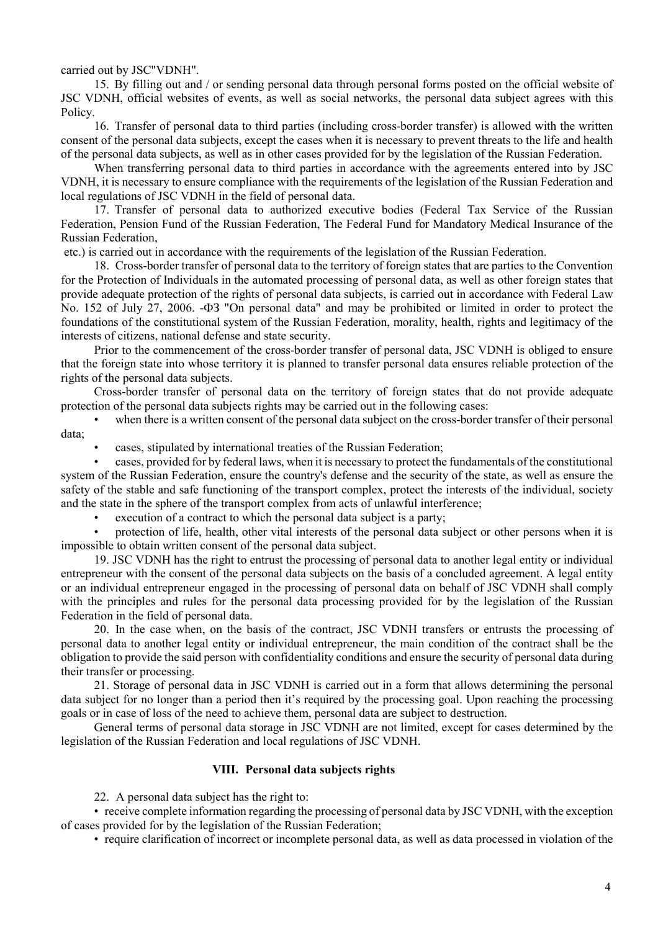carried out by JSC"VDNH".

15. By filling out and / or sending personal data through personal forms posted on the official website of JSC VDNH, official websites of events, as well as social networks, the personal data subject agrees with this Policy.

16. Transfer of personal data to third parties (including cross-border transfer) is allowed with the written consent of the personal data subjects, except the cases when it is necessary to prevent threats to the life and health of the personal data subjects, as well as in other cases provided for by the legislation of the Russian Federation.

When transferring personal data to third parties in accordance with the agreements entered into by JSC VDNH, it is necessary to ensure compliance with the requirements of the legislation of the Russian Federation and local regulations of JSC VDNH in the field of personal data.

17. Transfer of personal data to authorized executive bodies (Federal Tax Service of the Russian Federation, Pension Fund of the Russian Federation, The Federal Fund for Mandatory Medical Insurance of the Russian Federation,

etc.) is carried out in accordance with the requirements of the legislation of the Russian Federation.

18. Cross-border transfer of personal data to the territory of foreign states that are parties to the Convention for the Protection of Individuals in the automated processing of personal data, as well as other foreign states that provide adequate protection of the rights of personal data subjects, is carried out in accordance with Federal Law No. 152 of July 27, 2006. -ФЗ "On personal data" and may be prohibited or limited in order to protect the foundations of the constitutional system of the Russian Federation, morality, health, rights and legitimacy of the interests of citizens, national defense and state security.

Prior to the commencement of the cross-border transfer of personal data, JSC VDNH is obliged to ensure that the foreign state into whose territory it is planned to transfer personal data ensures reliable protection of the rights of the personal data subjects.

Cross-border transfer of personal data on the territory of foreign states that do not provide adequate protection of the personal data subjects rights may be carried out in the following cases:

when there is a written consent of the personal data subject on the cross-border transfer of their personal data;

• cases, stipulated by international treaties of the Russian Federation;

• cases, provided for by federal laws, when it is necessary to protect the fundamentals of the constitutional system of the Russian Federation, ensure the country's defense and the security of the state, as well as ensure the safety of the stable and safe functioning of the transport complex, protect the interests of the individual, society and the state in the sphere of the transport complex from acts of unlawful interference;

execution of a contract to which the personal data subject is a party;

• protection of life, health, other vital interests of the personal data subject or other persons when it is impossible to obtain written consent of the personal data subject.

19. JSC VDNH has the right to entrust the processing of personal data to another legal entity or individual entrepreneur with the consent of the personal data subjects on the basis of a concluded agreement. A legal entity or an individual entrepreneur engaged in the processing of personal data on behalf of JSC VDNH shall comply with the principles and rules for the personal data processing provided for by the legislation of the Russian Federation in the field of personal data.

20. In the case when, on the basis of the contract, JSC VDNH transfers or entrusts the processing of personal data to another legal entity or individual entrepreneur, the main condition of the contract shall be the obligation to provide the said person with confidentiality conditions and ensure the security of personal data during their transfer or processing.

21. Storage of personal data in JSC VDNH is carried out in a form that allows determining the personal data subject for no longer than a period then it's required by the processing goal. Upon reaching the processing goals or in case of loss of the need to achieve them, personal data are subject to destruction.

General terms of personal data storage in JSC VDNH are not limited, except for cases determined by the legislation of the Russian Federation and local regulations of JSC VDNH.

### **VIII. Personal data subjects rights**

22. A personal data subject has the right to:

• receive complete information regarding the processing of personal data by JSC VDNH, with the exception of cases provided for by the legislation of the Russian Federation;

• require clarification of incorrect or incomplete personal data, as well as data processed in violation of the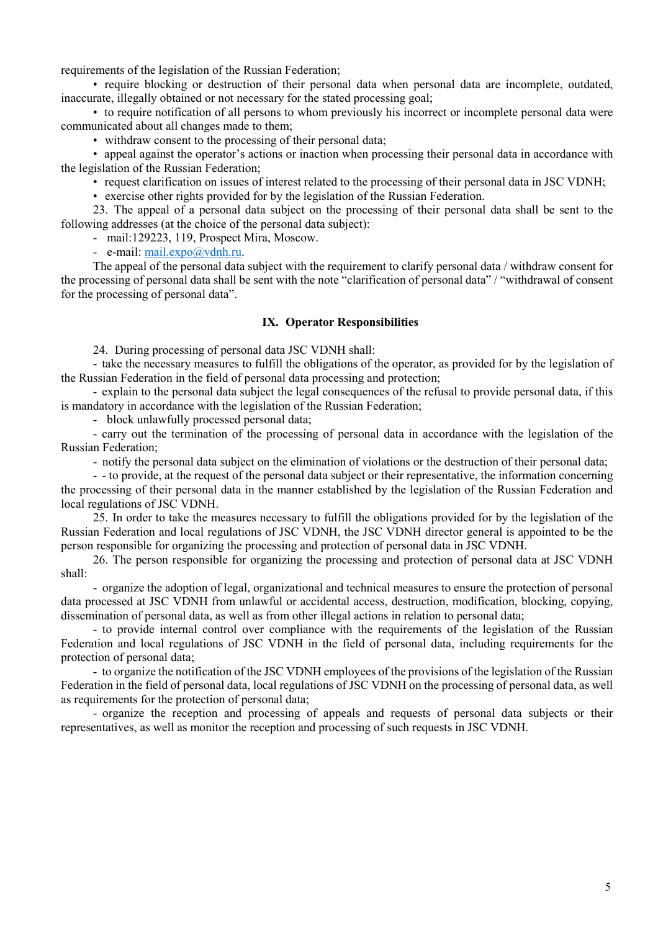requirements of the legislation of the Russian Federation;

• require blocking or destruction of their personal data when personal data are incomplete, outdated, inaccurate, illegally obtained or not necessary for the stated processing goal;

• to require notification of all persons to whom previously his incorrect or incomplete personal data were communicated about all changes made to them;

• withdraw consent to the processing of their personal data;

• appeal against the operator's actions or inaction when processing their personal data in accordance with the legislation of the Russian Federation;

• request clarification on issues of interest related to the processing of their personal data in JSC VDNH;

• exercise other rights provided for by the legislation of the Russian Federation.

23. The appeal of a personal data subject on the processing of their personal data shall be sent to the following addresses (at the choice of the personal data subject):

- mail:129223, 119, Prospect Mira, Moscow.

- e-mail: [mail.expo@vdnh.ru.](mailto:mail.expo@vdnh.ru)

The appeal of the personal data subject with the requirement to clarify personal data / withdraw consent for the processing of personal data shall be sent with the note "clarification of personal data" / "withdrawal of consent for the processing of personal data".

#### **IX. Operator Responsibilities**

24. During processing of personal data JSC VDNH shall:

- take the necessary measures to fulfill the obligations of the operator, as provided for by the legislation of the Russian Federation in the field of personal data processing and protection;

- explain to the personal data subject the legal consequences of the refusal to provide personal data, if this is mandatory in accordance with the legislation of the Russian Federation;

- block unlawfully processed personal data;

- carry out the termination of the processing of personal data in accordance with the legislation of the Russian Federation;

- notify the personal data subject on the elimination of violations or the destruction of their personal data;

- - to provide, at the request of the personal data subject or their representative, the information concerning the processing of their personal data in the manner established by the legislation of the Russian Federation and local regulations of JSC VDNH.

25. In order to take the measures necessary to fulfill the obligations provided for by the legislation of the Russian Federation and local regulations of JSC VDNH, the JSC VDNH director general is appointed to be the person responsible for organizing the processing and protection of personal data in JSC VDNH.

26. The person responsible for organizing the processing and protection of personal data at JSC VDNH shall:

- organize the adoption of legal, organizational and technical measures to ensure the protection of personal data processed at JSC VDNH from unlawful or accidental access, destruction, modification, blocking, copying, dissemination of personal data, as well as from other illegal actions in relation to personal data;

- to provide internal control over compliance with the requirements of the legislation of the Russian Federation and local regulations of JSC VDNH in the field of personal data, including requirements for the protection of personal data;

- to organize the notification of the JSC VDNH employees of the provisions of the legislation of the Russian Federation in the field of personal data, local regulations of JSC VDNH on the processing of personal data, as well as requirements for the protection of personal data;

- organize the reception and processing of appeals and requests of personal data subjects or their representatives, as well as monitor the reception and processing of such requests in JSC VDNH.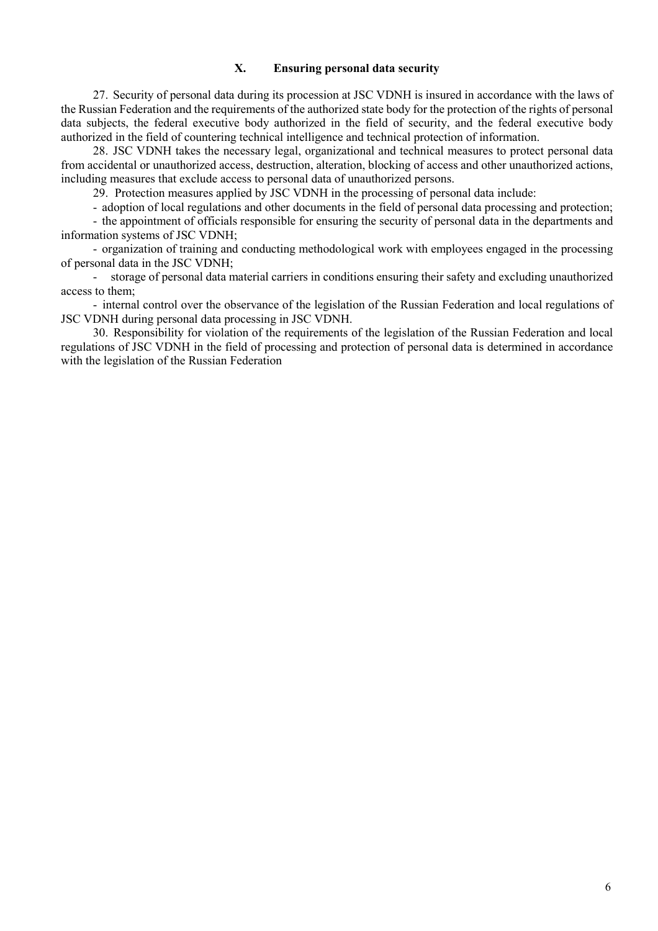### **X. Ensuring personal data security**

27. Security of personal data during its procession at JSC VDNH is insured in accordance with the laws of the Russian Federation and the requirements of the authorized state body for the protection of the rights of personal data subjects, the federal executive body authorized in the field of security, and the federal executive body authorized in the field of countering technical intelligence and technical protection of information.

28. JSC VDNH takes the necessary legal, organizational and technical measures to protect personal data from accidental or unauthorized access, destruction, alteration, blocking of access and other unauthorized actions, including measures that exclude access to personal data of unauthorized persons.

29. Protection measures applied by JSC VDNH in the processing of personal data include:

- adoption of local regulations and other documents in the field of personal data processing and protection;

- the appointment of officials responsible for ensuring the security of personal data in the departments and information systems of JSC VDNH;

- organization of training and conducting methodological work with employees engaged in the processing of personal data in the JSC VDNH;

- storage of personal data material carriers in conditions ensuring their safety and excluding unauthorized access to them;

- internal control over the observance of the legislation of the Russian Federation and local regulations of JSC VDNH during personal data processing in JSC VDNH.

30. Responsibility for violation of the requirements of the legislation of the Russian Federation and local regulations of JSC VDNH in the field of processing and protection of personal data is determined in accordance with the legislation of the Russian Federation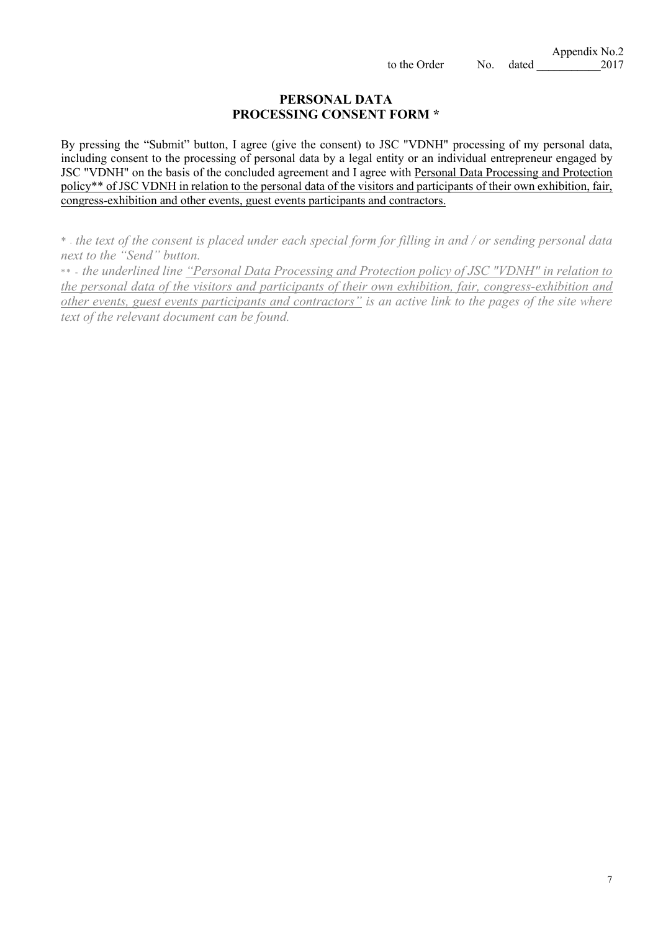# **PERSONAL DATA PROCESSING CONSENT FORM \***

By pressing the "Submit" button, I agree (give the consent) to JSC "VDNH" processing of my personal data, including consent to the processing of personal data by a legal entity or an individual entrepreneur engaged by JSC "VDNH" on the basis of the concluded agreement and I agree with Personal Data Processing and Protection policy\*\* of JSC VDNH in relation to the personal data of the visitors and participants of their own exhibition, fair, congress-exhibition and other events, guest events participants and contractors.

\* - *the text of the consent is placed under each special form for filling in and / or sending personal data next to the "Send" button.*

\*\* - *the underlined line "Personal Data Processing and Protection policy of JSC "VDNH" in relation to the personal data of the visitors and participants of their own exhibition, fair, congress-exhibition and other events, guest events participants and contractors" is an active link to the pages of the site where text of the relevant document can be found.*